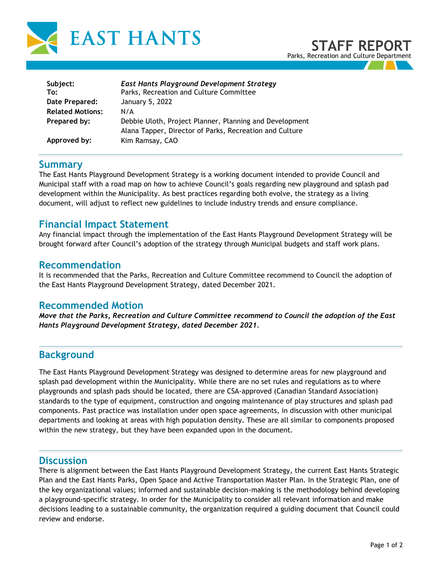

| Subject:<br>To:         | <b>East Hants Playground Development Strategy</b><br>Parks, Recreation and Culture Committee                       |
|-------------------------|--------------------------------------------------------------------------------------------------------------------|
| Date Prepared:          | January 5, 2022                                                                                                    |
|                         |                                                                                                                    |
| <b>Related Motions:</b> | N/A                                                                                                                |
| Prepared by:            | Debbie Uloth, Project Planner, Planning and Development<br>Alana Tapper, Director of Parks, Recreation and Culture |
| Approved by:            | Kim Ramsay, CAO                                                                                                    |

## **Summary**

The East Hants Playground Development Strategy is a working document intended to provide Council and Municipal staff with a road map on how to achieve Council's goals regarding new playground and splash pad development within the Municipality. As best practices regarding both evolve, the strategy as a living document, will adjust to reflect new guidelines to include industry trends and ensure compliance.

### **Financial Impact Statement**

Any financial impact through the implementation of the East Hants Playground Development Strategy will be brought forward after Council's adoption of the strategy through Municipal budgets and staff work plans.

### **Recommendation**

It is recommended that the Parks, Recreation and Culture Committee recommend to Council the adoption of the East Hants Playground Development Strategy, dated December 2021.

### **Recommended Motion**

*Move that the Parks, Recreation and Culture Committee recommend to Council the adoption of the East Hants Playground Development Strategy, dated December 2021.*

# **Background**

The East Hants Playground Development Strategy was designed to determine areas for new playground and splash pad development within the Municipality. While there are no set rules and regulations as to where playgrounds and splash pads should be located, there are CSA-approved (Canadian Standard Association) standards to the type of equipment, construction and ongoing maintenance of play structures and splash pad components. Past practice was installation under open space agreements, in discussion with other municipal departments and looking at areas with high population density. These are all similar to components proposed within the new strategy, but they have been expanded upon in the document.

### **Discussion**

There is alignment between the East Hants Playground Development Strategy, the current East Hants Strategic Plan and the East Hants Parks, Open Space and Active Transportation Master Plan. In the Strategic Plan, one of the key organizational values; informed and sustainable decision-making is the methodology behind developing a playground-specific strategy. In order for the Municipality to consider all relevant information and make decisions leading to a sustainable community, the organization required a guiding document that Council could review and endorse.